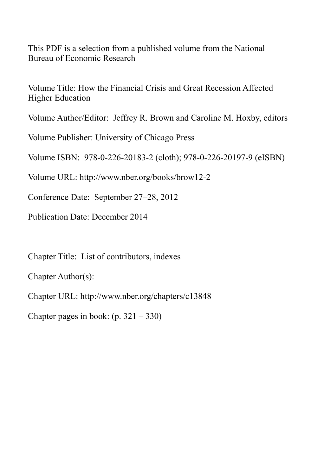This PDF is a selection from a published volume from the National Bureau of Economic Research

Volume Title: How the Financial Crisis and Great Recession Affected Higher Education

Volume Author/Editor: Jeffrey R. Brown and Caroline M. Hoxby, editors

Volume Publisher: University of Chicago Press

Volume ISBN: 978-0-226-20183-2 (cloth); 978-0-226-20197-9 (eISBN)

Volume URL: http://www.nber.org/books/brow12-2

Conference Date: September 27–28, 2012

Publication Date: December 2014

Chapter Title: List of contributors, indexes

Chapter Author(s):

Chapter URL: http://www.nber.org/chapters/c13848

Chapter pages in book:  $(p. 321 - 330)$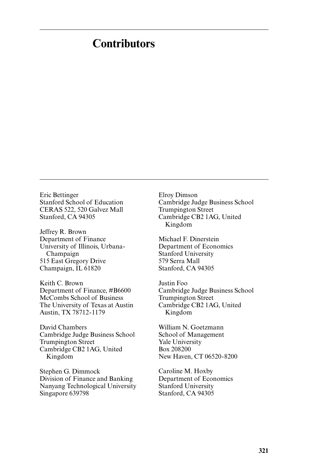## **Contributors**

Eric Bettinger Stanford School of Education CERAS 522, 520 Galvez Mall Stanford, CA 94305

Jeffrey R. Brown Department of Finance University of Illinois, Urbana-Champaign 515 East Gregory Drive Champaign, IL 61820

Keith C. Brown Department of Finance, #B6600 McCombs School of Business The University of Texas at Austin Austin, TX 78712- 1179

David Chambers Cambridge Judge Business School Trumpington Street Cambridge CB2 1AG, United Kingdom

Stephen G. Dimmock Division of Finance and Banking Nanyang Technological University Singapore 639798

Elroy Dimson Cambridge Judge Business School Trumpington Street Cambridge CB2 1AG, United Kingdom

Michael F. Dinerstein Department of Economics Stanford University 579 Serra Mall Stanford, CA 94305

Justin Foo Cambridge Judge Business School Trumpington Street Cambridge CB2 1AG, United Kingdom

William N. Goetzmann School of Management Yale University Box 208200 New Haven, CT 06520- 8200

Caroline M. Hoxby Department of Economics Stanford University Stanford, CA 94305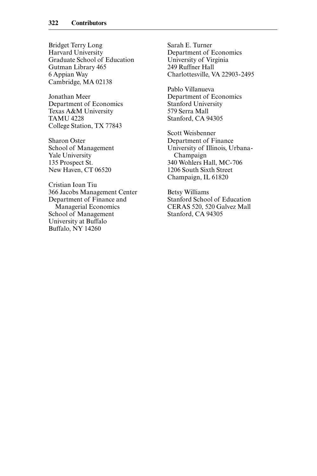Bridget Terry Long Harvard University Graduate School of Education Gutman Library 465 6 Appian Way Cambridge, MA 02138

Jonathan Meer Department of Economics Texas A&M University TAMU 4228 College Station, TX 77843

Sharon Oster School of Management Yale University 135 Prospect St. New Haven, CT 06520

Cristian Ioan Tiu 366 Jacobs Management Center Department of Finance and Managerial Economics School of Management University at Buffalo Buffalo, NY 14260

Sarah E. Turner Department of Economics University of Virginia 249 Ruffner Hall Charlottesville, VA 22903- 2495

Pablo Villanueva Department of Economics Stanford University 579 Serra Mall Stanford, CA 94305

Scott Weisbenner Department of Finance University of Illinois, Urbana-Champaign 340 Wohlers Hall, MC- 706 1206 South Sixth Street Champaign, IL 61820

Betsy Williams Stanford School of Education CERAS 520, 520 Galvez Mall Stanford, CA 94305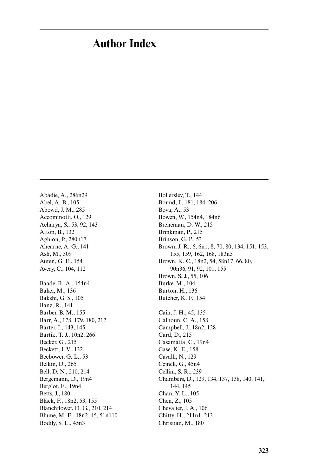## **Author Index**

Abadie, A., 286n29 Abel, A. B., 105 Abowd, J. M., 285 Accominotti, O., 129 Acharya, S., 53, 92, 143 Afton, B., 132 Aghion, P., 280n17 Ahearne, A. G., 141 Ash, M., 309 Auten, G. E., 154 Avery, C., 104, 112 Baade, R. A., 154n4 Baker, M., 136 Bakshi, G. S., 105 Banz, R., 141 Barber, B. M., 155 Barr, A., 178, 179, 180, 217 Barter, I., 143, 145 Bartik, T. J., 10n2, 266 Becker, G., 215 Beckett, J. V., 132 Beebower, G. L., 53 Belkin, D., 265 Bell, D. N., 210, 214 Bergemann, D., 19n4 Berglof, E., 19n4 Betts, J., 180 Black, F., 18n2, 53, 155 Blanchflower, D. G., 210, 214 Blume, M. E., 18n2, 45, 51n110 Bodily, S. L., 45n3

Bollerslev, T., 144 Bound, J., 181, 184, 206 Bova, A., 53 Bowen, W., 154n4, 184n6 Breneman, D. W., 215 Brinkman, P., 215 Brinson, G. P., 53 Brown, J. R., 6, 6n1, 8, 70, 80, 134, 151, 153, 155, 159, 162, 168, 183n5 Brown, K. C., 18n2, 54, 58n17, 66, 80, 90n36, 91, 92, 101, 155 Brown, S. J., 55, 106 Burke, M., 104 Burton, H., 136 Butcher, K. F., 154 Cain, J. H., 45, 135 Calhoun, C. A., 158 Campbell, J., 18n2, 128 Card, D., 215 Casamatta, C., 19n4 Case, K. E., 158 Cavalli, N., 129 Cejnek, G., 45n4 Cellini, S. R., 239 Chambers, D., 129, 134, 137, 138, 140, 141, 144, 145 Chan, Y. L., 105 Chen, Z., 105 Chevalier, J. A., 106 Chitty, H., 211n1, 213 Christian, M., 180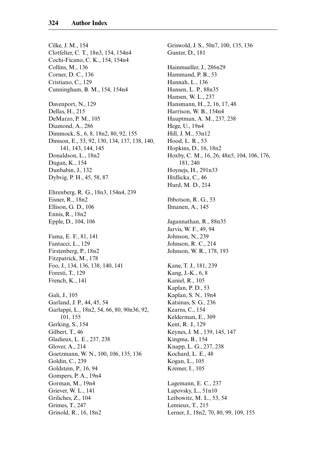Cilke, J. M., 154 Clotfelter, C. T., 18n3, 154, 154n4 Cochi-Ficano, C. K., 154, 154n4 Collins, M., 136 Corner, D. C., 136 Cristiano, C., 129 Cunningham, B. M., 154, 154n4 Davenport, N., 129 Dellas, H., 215 DeMarzo, P. M., 105 Diamond, A., 286 Dimmock, S., 6, 8, 18n2, 80, 92, 155 Dimson, E., 53, 92, 130, 134, 137, 138, 140, 141, 143, 144, 145 Donaldson, L., 18n2 Dugan, K., 154 Dunbabin, J., 132 Dybvig, P. H., 45, 58, 87 Ehrenberg, R. G., 18n3, 154n4, 239 Eisner, R., 18n2 Ellison, G. D., 106 Ennis, R., 18n2 Epple, D., 104, 106 Fama, E. F., 81, 141 Fantacci, L., 129 Firstenberg, P., 18n2 Fitzpatrick, M., 178 Foo, J., 134, 136, 138, 140, 141 Foresti, T., 129 French, K., 141 Gali, J., 105 Garland, J. P., 44, 45, 54 Garlappi, L., 18n2, 54, 66, 80, 90n36, 92, 101, 155 Gerking, S., 154 Gilbert, T., 46 Gladieux, L. E., 237, 238 Glover, A., 214 Goetzmann, W. N., 100, 106, 135, 136 Goldin, C., 239 Goldstein, P., 16, 94 Gompers, P. A., 19n4 Gorman, M., 19n4 Griever, W. L., 141 Griliches, Z., 104 Grimes, T., 247 Grinold, R., 16, 18n2

Griswold, J. S., 50n7, 100, 135, 136 Gunter, D., 181 Hainmueller, J., 286n29 Hammand, P. B., 53 Hannah, L., 136 Hansen, L. P., 88n35 Hansen, W. L., 237 Hansmann, H., 2, 16, 17, 48 Harrison, W. B., 154n4 Hauptman, A. M., 237, 238 Hege, U., 19n4 Hill, J. M., 53n12 Hood, L. R., 53 Hopkins, D., 16, 18n2 Hoxby, C. M., 16, 26, 48n5, 104, 106, 176, 181, 240 Hoynejs, H., 291n33 Hrdlicka, C., 46 Hurd, M. D., 214 Ibbotson, R. G., 53 Ilmanen, A., 145 Jagannathan, R., 88n35 Jarvis, W. F., 49, 94 Johnson, N., 239 Johnson, R. C., 214 Johnson, W. R., 178, 193 Kane, T. J., 181, 239 Kang, J.-K., 6, 8 Kaniel, R., 105 Kaplan, P. D., 53 Kaplan, S. N., 19n4 Katsinas, S. G., 236 Kearns, C., 154 Kelderman, E., 309 Kent, R. J., 129 Keynes, J. M., 139, 145, 147 Kingma, B., 154 Knapp, L. G., 237, 238 Kochard, L. E., 48 Kogan, L., 105 Kremer, I., 105 Lagemann, E. C., 237 Lapovsky, L., 51n10 Leibowitz, M. L., 53, 54 Lemieux, T., 215 Lerner, J., 18n2, 70, 80, 99, 109, 155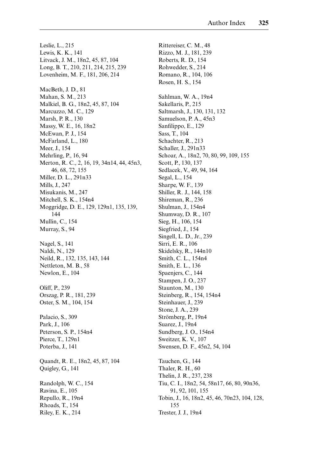Leslie, L., 215 Lewis, K. K., 141 Litvack, J. M., 18n2, 45, 87, 104 Long, B. T., 210, 211, 214, 215, 239 Lovenheim, M. F., 181, 206, 214 MacBeth, J. D., 81 Mahan, S. M., 213 Malkiel, B. G., 18n2, 45, 87, 104 Marcuzzo, M. C., 129 Marsh, P. R., 130 Massy, W. E., 16, 18n2 McEwan, P. J., 154 McFarland, L., 180 Meer, J., 154 Mehrling, P., 16, 94 Merton, R. C., 2, 16, 19, 34n14, 44, 45n3, 46, 68, 72, 155 Miller, D. L., 291n33 Mills, J., 247 Misukanis, M., 247 Mitchell, S. K., 154n4 Moggridge, D. E., 129, 129n1, 135, 139, 144 Mullin, C., 154 Murray, S., 94 Nagel, S., 141 Naldi, N., 129 Neild, R., 132, 135, 143, 144 Nettleton, M. B., 58 Newlon, E., 104 Oliff, P., 239 Orszag, P. R., 181, 239 Oster, S. M., 104, 154 Palacio, S., 309 Park, J., 106 Peterson, S. P., 154n4 Pierce, T., 129n1 Poterba, J., 141 Quandt, R. E., 18n2, 45, 87, 104 Quigley, G., 141 Randolph, W. C., 154 Ravina, E., 105 Repullo, R., 19n4 Rhoads, T., 154 Riley, E. K., 214

Rittereiser, C. M., 48 Rizzo, M. J., 181, 239 Roberts, R. D., 154 Rohwedder, S., 214 Romano, R., 104, 106 Rosen, H. S., 154 Sahlman, W. A., 19n4 Sakellaris, P., 215 Saltmarsh, J., 130, 131, 132 Samuelson, P. A., 45n3 Sanfilippo, E., 129 Sass, T., 104 Schachter, R., 213 Schaller, J., 291n33 Schoar, A., 18n2, 70, 80, 99, 109, 155 Scott, P., 130, 137 Sedlacek, V., 49, 94, 164 Segal, L., 154 Sharpe, W. F., 139 Shiller, R. J., 144, 158 Shireman, R., 236 Shulman, J., 154n4 Shumway, D. R., 107 Sieg, H., 106, 154 Siegfried, J., 154 Singell, L. D., Jr., 239 Sirri, E. R., 106 Skidelsky, R., 144n10 Smith, C. L., 154n4 Smith, E. L., 136 Spaenjers, C., 144 Stampen, J. O., 237 Staunton, M., 130 Steinberg, R., 154, 154n4 Steinhauer, J., 239 Stone, J. A., 239 Strömberg, P., 19n4 Suarez, J., 19n4 Sundberg, J. O., 154n4 Sweitzer, K. V., 107 Swensen, D. F., 45n2, 54, 104 Tauchen, G., 144 Thaler, R. H., 60 Thelin, J. R., 237, 238 Tiu, C. I., 18n2, 54, 58n17, 66, 80, 90n36, 91, 92, 101, 155 Tobin, J., 16, 18n2, 45, 46, 70n23, 104, 128, 155 Trester, J. J., 19n4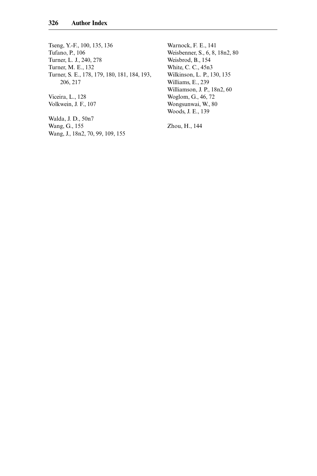Tseng, Y.-F., 100, 135, 136 Tufano, P., 106 Turner, L. J., 240, 278 Turner, M. E., 132 Turner, S. E., 178, 179, 180, 181, 184, 193, 206, 217

Viceira, L., 128 Volkwein, J. F., 107

Walda, J. D., 50n7 Wang, G., 155 Wang, J., 18n2, 70, 99, 109, 155 Warnock, F. E., 141 Weisbenner, S., 6, 8, 18n2, 80 Weisbrod, B., 154 White, C. C., 45n3 Wilkinson, L. P., 130, 135 Williams, E., 239 Williamson, J. P., 18n2, 60 Woglom, G., 46, 72 Wongsunwai, W., 80 Woods, J. E., 139

Zhou, H., 144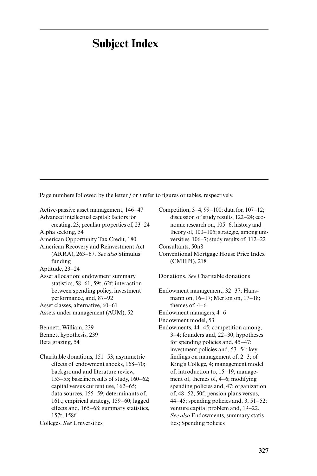## **Subject Index**

Page numbers followed by the letter *f* or *t* refer to figures or tables, respectively.

Active-passive asset management, 146–47 Advanced intellectual capital: factors for creating, 23; peculiar properties of, 23–24 Alpha seeking, 54 American Opportunity Tax Credit, 180 American Recovery and Reinvestment Act (ARRA), 263–67. *See also* Stimulus funding Aptitude, 23–24 Asset allocation: endowment summary statistics, 58–61, 59t, 62f; interaction between spending policy, investment performance, and, 87–92 Asset classes, alternative, 60–61 Assets under management (AUM), 52 Bennett, William, 239 Bennett hypothesis, 239 Beta grazing, 54 Charitable donations, 151–53; asymmetric effects of endowment shocks, 168–70; background and literature review, 153–55; baseline results of study, 160–62; capital versus current use, 162–65; data sources, 155–59; determinants of,

161t; empirical strategy, 159–60; lagged effects and, 165–68; summary statistics, 157t, 158f

Colleges. *See* Universities

Competition, 3–4, 99–100; data for, 107–12; discussion of study results, 122–24; economic research on, 105–6; history and theory of, 100–105; strategic, among universities, 106–7; study results of, 112–22

Consultants, 50n8

Conventional Mortgage House Price Index (CMHPI), 218

Donations. *See* Charitable donations

Endowment management, 32–37; Hansmann on, 16–17; Merton on, 17–18; themes of, 4–6

Endowment managers, 4–6

Endowment model, 53

Endowments, 44–45; competition among, 3–4; founders and, 22–30; hypotheses for spending policies and, 45–47; investment policies and, 53–54; key findings on management of, 2–3; of King's College, 4; management model of, introduction to, 15–19; management of, themes of, 4–6; modifying spending policies and, 47; organization of, 48–52, 50f; pension plans versus, 44–45; spending policies and,  $3, 51-52$ ; venture capital problem and, 19–22. *See also* Endowments, summary statistics; Spending policies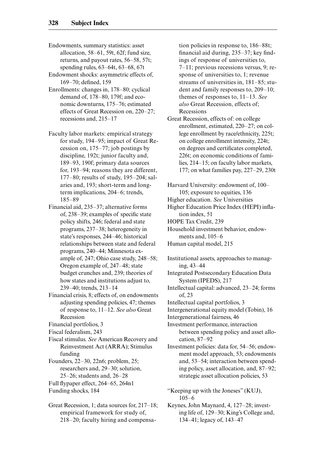- Endowments, summary statistics: asset allocation, 58–61, 59t, 62f; fund size, returns, and payout rates, 56–58, 57t; spending rules, 63–64t, 63–68, 67t
- Endowment shocks: asymmetric effects of, 169–70; defined, 159
- Enrollments: changes in, 178–80; cyclical demand of, 178–80, 179f; and economic downturns, 175–76; estimated effects of Great Recession on, 220–27; recessions and, 215–17
- Faculty labor markets: empirical strategy for study, 194–95; impact of Great Recession on, 175–77; job postings by discipline, 192t; junior faculty and, 189–93, 190f; primary data sources for, 193–94; reasons they are different, 177–80; results of study, 195–204; salaries and, 193; short- term and longterm implications, 204–6; trends, 185–89
- Financial aid, 235–37; alternative forms of, 238–39; examples of specific state policy shifts, 246; federal and state programs, 237–38; heterogeneity in state's responses, 244–46; historical relationships between state and federal programs, 240–44; Minnesota example of, 247; Ohio case study, 248–58; Oregon example of, 247–48; state budget crunches and, 239; theories of how states and institutions adjust to, 239–40; trends, 213–14
- Financial crisis, 8; effects of, on endowments adjusting spending policies, 47; themes of response to, 11–12. *See also* Great Recession
- Financial portfolios, 3
- Fiscal federalism, 243
- Fiscal stimulus. *See* American Recovery and Reinvestment Act (ARRA); Stimulus funding
- Founders, 22–30, 22n6; problem, 25; researchers and, 29–30; solution, 25–26; students and, 26–28
- Full flypaper effect, 264–65, 264n1
- Funding shocks, 184
- Great Recession, 1; data sources for, 217–18; empirical framework for study of, 218–20; faculty hiring and compensa-

tion policies in response to, 186–88t; financial aid during, 235–37; key findings of response of universities to, 7–11; previous recessions versus, 9; response of universities to, 1; revenue streams of universities in, 181–85; student and family responses to, 209–10; themes of responses to, 11–13. *See also* Great Recession, effects of; Recessions

Great Recession, effects of: on college enrollment, estimated, 220–27; on college enrollment by race/ethnicity, 225t; on college enrollment intensity, 224t; on degrees and certificates completed, 226t; on economic conditions of families, 214–15; on faculty labor markets, 177; on what families pay, 227–29, 230t

Harvard University: endowment of, 100– 105; exposure to equities, 136 Higher education. *See* Universities Higher Education Price Index (HEPI) inflation index, 51

HOPE Tax Credit, 239

Household investment behavior, endowments and, 105–6

Human capital model, 215

Institutional assets, approaches to managing, 43–44

Integrated Postsecondary Education Data System (IPEDS), 217

- Intellectual capital: advanced, 23–24; forms of, 23
- Intellectual capital portfolios, 3
- Intergenerational equity model (Tobin), 16

Intergenerational fairness, 46

Investment performance, interaction between spending policy and asset allocation, 87–92

- Investment policies: data for, 54–56; endowment model approach, 53; endowments and, 53–54; interaction between spending policy, asset allocation, and, 87–92; strategic asset allocation policies, 53
- "Keeping up with the Joneses" (KUJ), 105–6
- Keynes, John Maynard, 4, 127–28; investing life of, 129–30; King's College and, 134–41; legacy of, 143–47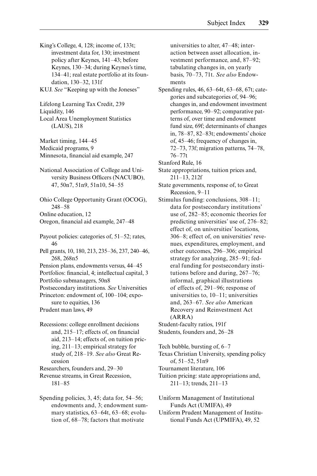King's College, 4, 128; income of, 133t; investment data for, 130; investment policy after Keynes, 141–43; before Keynes, 130–34; during Keynes's time, 134–41; real estate portfolio at its foundation, 130–32, 131f

KUJ. *See* "Keeping up with the Joneses"

Lifelong Learning Tax Credit, 239 Liquidity, 146 Local Area Unemployment Statistics (LAUS), 218

Market timing, 144–45 Medicaid programs, 9 Minnesota, financial aid example, 247

National Association of College and University Business Officers (NACUBO), 47, 50n7, 51n9, 51n10, 54–55

Ohio College Opportunity Grant (OCOG), 248–58

Online education, 12

Oregon, financial aid example, 247–48

Payout policies: categories of, 51–52; rates, 46

Pell grants, 10, 180, 213, 235–36, 237, 240–46, 268, 268n5

Pension plans, endowments versus, 44–45

Portfolios: financial, 4; intellectual capital, 3

Portfolio submanagers, 50n8

Postsecondary institutions. *See* Universities Princeton: endowment of, 100–104; exposure to equities, 136

Prudent man laws, 49

Recessions: college enrollment decisions and, 215–17; effects of, on financial aid, 213–14; effects of, on tuition pricing, 211–13; empirical strategy for study of, 218–19. *See also* Great Recession

Researchers, founders and, 29–30

Revenue streams, in Great Recession, 181–85

Spending policies, 3, 45; data for, 54–56; endowments and, 3; endowment summary statistics, 63–64t, 63–68; evolution of, 68–78; factors that motivate

universities to alter, 47–48; interaction between asset allocation, investment performance, and, 87–92; tabulating changes in, on yearly basis, 70–73, 71t. *See also* Endowments

Spending rules, 46, 63–64t, 63–68, 67t; categories and subcategories of, 94–96; changes in, and endowment investment performance, 90–92; comparative patterns of, over time and endowment fund size, 69f; determinants of changes in, 78–87, 82–83t; endowments' choice of, 45–46; frequency of changes in, 72–73, 73f; migration patterns, 74–78, 76–77t

Stanford Rule, 16

State appropriations, tuition prices and, 211–13, 212f

- State governments, response of, to Great Recession, 9–11
- Stimulus funding: conclusions, 308–11; data for postsecondary institutions' use of, 282–85; economic theories for predicting universities' use of, 276–82; effect of, on universities' locations, 306–8; effect of, on universities' revenues, expenditures, employment, and other outcomes, 296–306; empirical strategy for analyzing, 285–91; federal funding for postsecondary institutions before and during, 267–76; informal, graphical illustrations of effects of, 291–96; response of universities to, 10–11; universities and, 263–67. *See also* American Recovery and Reinvestment Act (ARRA)

Student-faculty ratios, 191f Students, founders and, 26–28

Tech bubble, bursting of, 6–7

Texas Christian University, spending policy of, 51–52, 51n9

Tournament literature, 106

Tuition pricing: state appropriations and, 211–13; trends, 211–13

Uniform Management of Institutional Funds Act (UMIFA), 49

Uniform Prudent Management of Institutional Funds Act (UPMIFA), 49, 52